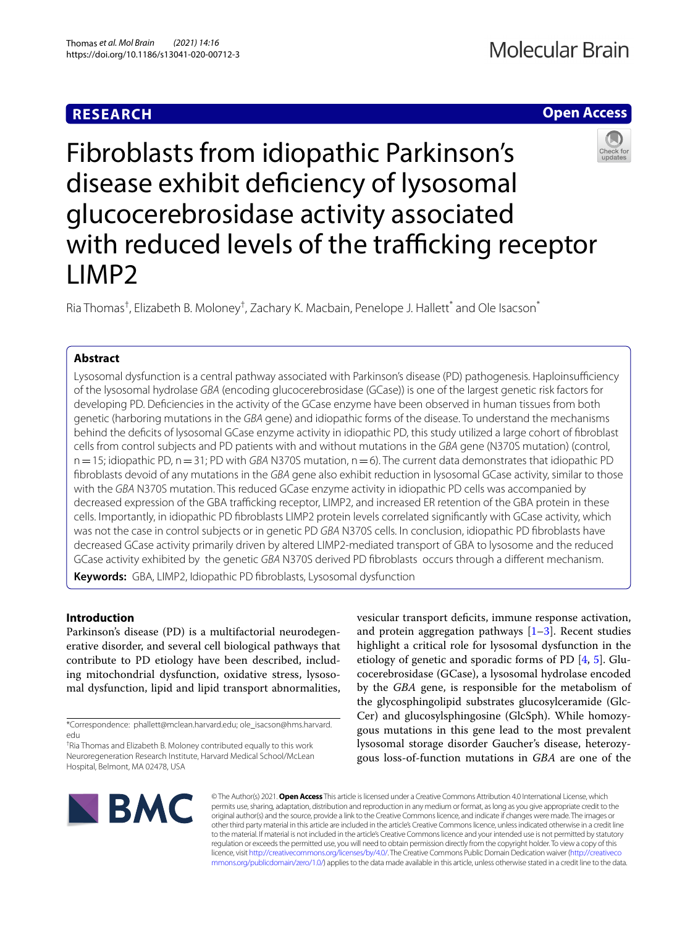# **RESEARCH**

# **Open Access**



Fibroblasts from idiopathic Parkinson's disease exhibit defciency of lysosomal glucocerebrosidase activity associated with reduced levels of the trafficking receptor LIMP2

Ria Thomas<sup>†</sup>, Elizabeth B. Moloney<sup>†</sup>, Zachary K. Macbain, Penelope J. Hallett<sup>\*</sup> and Ole Isacson<sup>\*</sup>

# **Abstract**

Lysosomal dysfunction is a central pathway associated with Parkinson's disease (PD) pathogenesis. Haploinsufficiency of the lysosomal hydrolase *GBA* (encoding glucocerebrosidase (GCase)) is one of the largest genetic risk factors for developing PD. Defciencies in the activity of the GCase enzyme have been observed in human tissues from both genetic (harboring mutations in the *GBA* gene) and idiopathic forms of the disease. To understand the mechanisms behind the defcits of lysosomal GCase enzyme activity in idiopathic PD, this study utilized a large cohort of fbroblast cells from control subjects and PD patients with and without mutations in the *GBA* gene (N370S mutation) (control, n=15; idiopathic PD, n=31; PD with *GBA* N370S mutation, n=6). The current data demonstrates that idiopathic PD fbroblasts devoid of any mutations in the *GBA* gene also exhibit reduction in lysosomal GCase activity, similar to those with the *GBA* N370S mutation. This reduced GCase enzyme activity in idiopathic PD cells was accompanied by decreased expression of the GBA trafficking receptor, LIMP2, and increased ER retention of the GBA protein in these cells. Importantly, in idiopathic PD fbroblasts LIMP2 protein levels correlated signifcantly with GCase activity, which was not the case in control subjects or in genetic PD *GBA* N370S cells. In conclusion, idiopathic PD fbroblasts have decreased GCase activity primarily driven by altered LIMP2-mediated transport of GBA to lysosome and the reduced GCase activity exhibited by the genetic *GBA* N370S derived PD fbroblasts occurs through a diferent mechanism.

**Keywords:** GBA, LIMP2, Idiopathic PD fbroblasts, Lysosomal dysfunction

# **Introduction**

Parkinson's disease (PD) is a multifactorial neurodegenerative disorder, and several cell biological pathways that contribute to PD etiology have been described, including mitochondrial dysfunction, oxidative stress, lysosomal dysfunction, lipid and lipid transport abnormalities, vesicular transport defcits, immune response activation, and protein aggregation pathways  $[1-3]$  $[1-3]$ . Recent studies highlight a critical role for lysosomal dysfunction in the etiology of genetic and sporadic forms of PD [\[4](#page-10-0), [5](#page-10-1)]. Glucocerebrosidase (GCase), a lysosomal hydrolase encoded by the *GBA* gene, is responsible for the metabolism of the glycosphingolipid substrates glucosylceramide (Glc-Cer) and glucosylsphingosine (GlcSph). While homozygous mutations in this gene lead to the most prevalent lysosomal storage disorder Gaucher's disease, heterozygous loss-of-function mutations in *GBA* are one of the



© The Author(s) 2021. **Open Access** This article is licensed under a Creative Commons Attribution 4.0 International License, which permits use, sharing, adaptation, distribution and reproduction in any medium or format, as long as you give appropriate credit to the original author(s) and the source, provide a link to the Creative Commons licence, and indicate if changes were made. The images or other third party material in this article are included in the article's Creative Commons licence, unless indicated otherwise in a credit line to the material. If material is not included in the article's Creative Commons licence and your intended use is not permitted by statutory regulation or exceeds the permitted use, you will need to obtain permission directly from the copyright holder. To view a copy of this licence, visit [http://creativecommons.org/licenses/by/4.0/.](http://creativecommons.org/licenses/by/4.0/) The Creative Commons Public Domain Dedication waiver ([http://creativeco](http://creativecommons.org/publicdomain/zero/1.0/) [mmons.org/publicdomain/zero/1.0/](http://creativecommons.org/publicdomain/zero/1.0/)) applies to the data made available in this article, unless otherwise stated in a credit line to the data.

<sup>\*</sup>Correspondence: phallett@mclean.harvard.edu; ole\_isacson@hms.harvard. edu

<sup>†</sup> Ria Thomas and Elizabeth B. Moloney contributed equally to this work Neuroregeneration Research Institute, Harvard Medical School/McLean Hospital, Belmont, MA 02478, USA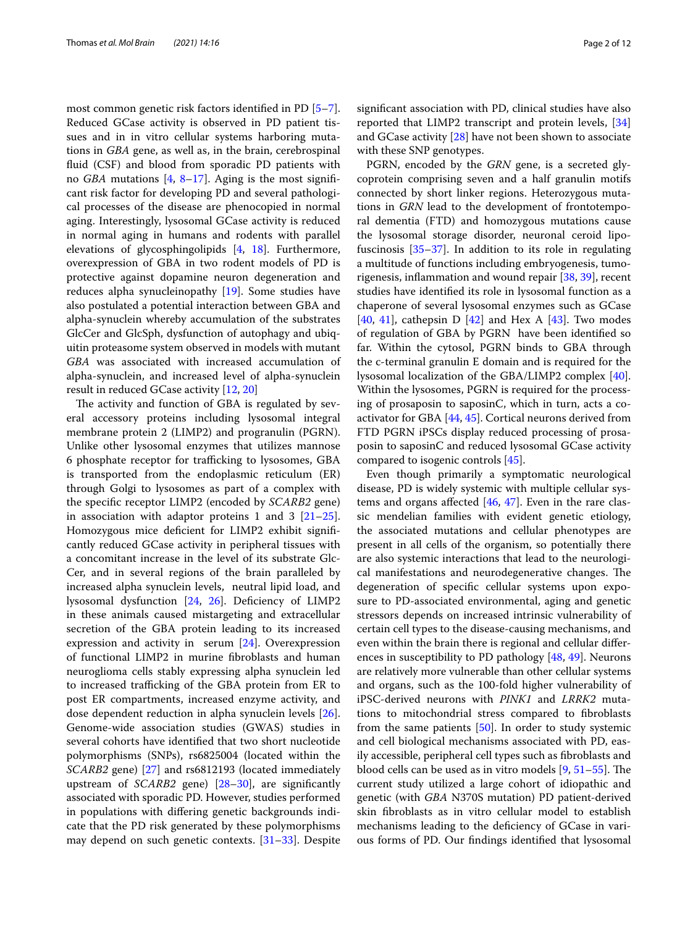most common genetic risk factors identifed in PD [\[5](#page-10-1)[–7](#page-10-2)]. Reduced GCase activity is observed in PD patient tissues and in in vitro cellular systems harboring mutations in *GBA* gene, as well as, in the brain, cerebrospinal fuid (CSF) and blood from sporadic PD patients with no *GBA* mutations [[4,](#page-10-0) [8](#page-10-3)[–17](#page-10-4)]. Aging is the most signifcant risk factor for developing PD and several pathological processes of the disease are phenocopied in normal aging. Interestingly, lysosomal GCase activity is reduced in normal aging in humans and rodents with parallel elevations of glycosphingolipids [[4,](#page-10-0) [18\]](#page-10-5). Furthermore, overexpression of GBA in two rodent models of PD is protective against dopamine neuron degeneration and reduces alpha synucleinopathy [[19](#page-10-6)]. Some studies have also postulated a potential interaction between GBA and alpha-synuclein whereby accumulation of the substrates GlcCer and GlcSph, dysfunction of autophagy and ubiquitin proteasome system observed in models with mutant *GBA* was associated with increased accumulation of alpha-synuclein, and increased level of alpha-synuclein result in reduced GCase activity [[12,](#page-10-7) [20](#page-10-8)]

The activity and function of GBA is regulated by several accessory proteins including lysosomal integral membrane protein 2 (LIMP2) and progranulin (PGRN). Unlike other lysosomal enzymes that utilizes mannose 6 phosphate receptor for trafficking to lysosomes, GBA is transported from the endoplasmic reticulum (ER) through Golgi to lysosomes as part of a complex with the specifc receptor LIMP2 (encoded by *SCARB2* gene) in association with adaptor proteins 1 and 3  $[21-25]$  $[21-25]$  $[21-25]$ . Homozygous mice deficient for LIMP2 exhibit significantly reduced GCase activity in peripheral tissues with a concomitant increase in the level of its substrate Glc-Cer, and in several regions of the brain paralleled by increased alpha synuclein levels, neutral lipid load, and lysosomal dysfunction [\[24](#page-10-11), [26\]](#page-10-12). Deficiency of LIMP2 in these animals caused mistargeting and extracellular secretion of the GBA protein leading to its increased expression and activity in serum [\[24\]](#page-10-11). Overexpression of functional LIMP2 in murine fbroblasts and human neuroglioma cells stably expressing alpha synuclein led to increased trafficking of the GBA protein from ER to post ER compartments, increased enzyme activity, and dose dependent reduction in alpha synuclein levels [\[26](#page-10-12)]. Genome-wide association studies (GWAS) studies in several cohorts have identifed that two short nucleotide polymorphisms (SNPs), rs6825004 (located within the *SCARB2* gene) [\[27\]](#page-10-13) and rs6812193 (located immediately upstream of *SCARB2* gene) [[28](#page-10-14)[–30](#page-10-15)], are signifcantly associated with sporadic PD. However, studies performed in populations with difering genetic backgrounds indicate that the PD risk generated by these polymorphisms may depend on such genetic contexts.  $[31-33]$  $[31-33]$  $[31-33]$ . Despite signifcant association with PD, clinical studies have also reported that LIMP2 transcript and protein levels, [[34](#page-10-18)] and GCase activity [\[28](#page-10-14)] have not been shown to associate with these SNP genotypes.

PGRN, encoded by the *GRN* gene, is a secreted glycoprotein comprising seven and a half granulin motifs connected by short linker regions. Heterozygous mutations in *GRN* lead to the development of frontotemporal dementia (FTD) and homozygous mutations cause the lysosomal storage disorder, neuronal ceroid lipofuscinosis [\[35](#page-10-19)[–37](#page-10-20)]. In addition to its role in regulating a multitude of functions including embryogenesis, tumorigenesis, infammation and wound repair [[38,](#page-10-21) [39](#page-10-22)], recent studies have identifed its role in lysosomal function as a chaperone of several lysosomal enzymes such as GCase  $[40, 41]$  $[40, 41]$  $[40, 41]$  $[40, 41]$ , cathepsin D  $[42]$  $[42]$  and Hex A  $[43]$  $[43]$  $[43]$ . Two modes of regulation of GBA by PGRN have been identifed so far. Within the cytosol, PGRN binds to GBA through the c-terminal granulin E domain and is required for the lysosomal localization of the GBA/LIMP2 complex [\[40](#page-10-23)]. Within the lysosomes, PGRN is required for the processing of prosaposin to saposinC, which in turn, acts a coactivator for GBA [[44,](#page-10-27) [45\]](#page-10-28). Cortical neurons derived from FTD PGRN iPSCs display reduced processing of prosaposin to saposinC and reduced lysosomal GCase activity compared to isogenic controls [\[45](#page-10-28)].

Even though primarily a symptomatic neurological disease, PD is widely systemic with multiple cellular systems and organs affected  $[46, 47]$  $[46, 47]$  $[46, 47]$ . Even in the rare classic mendelian families with evident genetic etiology, the associated mutations and cellular phenotypes are present in all cells of the organism, so potentially there are also systemic interactions that lead to the neurological manifestations and neurodegenerative changes. The degeneration of specifc cellular systems upon exposure to PD-associated environmental, aging and genetic stressors depends on increased intrinsic vulnerability of certain cell types to the disease-causing mechanisms, and even within the brain there is regional and cellular diferences in susceptibility to PD pathology [\[48](#page-10-31), [49](#page-11-0)]. Neurons are relatively more vulnerable than other cellular systems and organs, such as the 100-fold higher vulnerability of iPSC-derived neurons with *PINK1* and *LRRK2* mutations to mitochondrial stress compared to fbroblasts from the same patients [[50\]](#page-11-1). In order to study systemic and cell biological mechanisms associated with PD, easily accessible, peripheral cell types such as fbroblasts and blood cells can be used as in vitro models  $[9, 51-55]$  $[9, 51-55]$  $[9, 51-55]$  $[9, 51-55]$ . The current study utilized a large cohort of idiopathic and genetic (with *GBA* N370S mutation) PD patient-derived skin fbroblasts as in vitro cellular model to establish mechanisms leading to the deficiency of GCase in various forms of PD. Our fndings identifed that lysosomal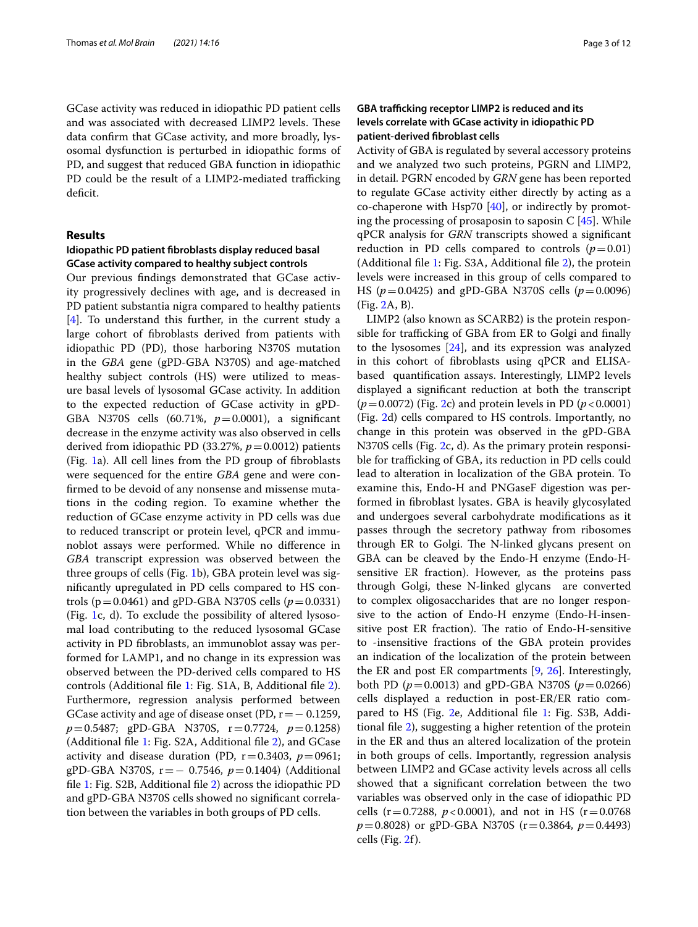GCase activity was reduced in idiopathic PD patient cells and was associated with decreased LIMP2 levels. These data confrm that GCase activity, and more broadly, lysosomal dysfunction is perturbed in idiopathic forms of PD, and suggest that reduced GBA function in idiopathic PD could be the result of a LIMP2-mediated trafficking deficit.

### **Results**

### **Idiopathic PD patient fbroblasts display reduced basal GCase activity compared to healthy subject controls**

Our previous fndings demonstrated that GCase activity progressively declines with age, and is decreased in PD patient substantia nigra compared to healthy patients [[4\]](#page-10-0). To understand this further, in the current study a large cohort of fbroblasts derived from patients with idiopathic PD (PD), those harboring N370S mutation in the *GBA* gene (gPD-GBA N370S) and age-matched healthy subject controls (HS) were utilized to measure basal levels of lysosomal GCase activity. In addition to the expected reduction of GCase activity in gPD-GBA N370S cells (60.71%, *p*=0.0001), a signifcant decrease in the enzyme activity was also observed in cells derived from idiopathic PD (33.27%, *p*=0.0012) patients (Fig. [1](#page-3-0)a). All cell lines from the PD group of fbroblasts were sequenced for the entire *GBA* gene and were confrmed to be devoid of any nonsense and missense mutations in the coding region. To examine whether the reduction of GCase enzyme activity in PD cells was due to reduced transcript or protein level, qPCR and immunoblot assays were performed. While no diference in *GBA* transcript expression was observed between the three groups of cells (Fig. [1b](#page-3-0)), GBA protein level was signifcantly upregulated in PD cells compared to HS controls ( $p = 0.0461$ ) and gPD-GBA N370S cells ( $p = 0.0331$ ) (Fig. [1](#page-3-0)c, d). To exclude the possibility of altered lysosomal load contributing to the reduced lysosomal GCase activity in PD fbroblasts, an immunoblot assay was performed for LAMP1, and no change in its expression was observed between the PD-derived cells compared to HS controls (Additional fle [1:](#page-9-2) Fig. S1A, B, Additional fle [2](#page-9-3)). Furthermore, regression analysis performed between GCase activity and age of disease onset (PD,  $r = -0.1259$ , *p*=0.5487; gPD-GBA N370S, r=0.7724, *p*=0.1258) (Additional fle [1](#page-9-2): Fig. S2A, Additional fle [2](#page-9-3)), and GCase activity and disease duration (PD,  $r=0.3403$ ,  $p=0961$ ; gPD-GBA N370S, r=− 0.7546, *p*=0.1404) (Additional fle [1:](#page-9-2) Fig. S2B, Additional fle [2](#page-9-3)) across the idiopathic PD and gPD-GBA N370S cells showed no signifcant correlation between the variables in both groups of PD cells.

### **GBA trafficking receptor LIMP2 is reduced and its levels correlate with GCase activity in idiopathic PD patient‑derived fbroblast cells**

Activity of GBA is regulated by several accessory proteins and we analyzed two such proteins, PGRN and LIMP2, in detail. PGRN encoded by *GRN* gene has been reported to regulate GCase activity either directly by acting as a co-chaperone with Hsp70 [\[40](#page-10-23)], or indirectly by promoting the processing of prosaposin to saposin  $C$  [[45\]](#page-10-28). While qPCR analysis for *GRN* transcripts showed a signifcant reduction in PD cells compared to controls  $(p=0.01)$ (Additional fle [1](#page-9-2): Fig. S3A, Additional fle [2\)](#page-9-3), the protein levels were increased in this group of cells compared to HS (*p*=0.0425) and gPD-GBA N370S cells (*p*=0.0096) (Fig. [2A](#page-4-0), B).

LIMP2 (also known as SCARB2) is the protein responsible for trafficking of GBA from ER to Golgi and finally to the lysosomes [\[24](#page-10-11)], and its expression was analyzed in this cohort of fbroblasts using qPCR and ELISAbased quantifcation assays. Interestingly, LIMP2 levels displayed a signifcant reduction at both the transcript  $(p=0.0072)$  (Fig. [2](#page-4-0)c) and protein levels in PD  $(p<0.0001)$ (Fig. [2d](#page-4-0)) cells compared to HS controls. Importantly, no change in this protein was observed in the gPD-GBA N370S cells (Fig. [2c](#page-4-0), d). As the primary protein responsible for trafficking of GBA, its reduction in PD cells could lead to alteration in localization of the GBA protein. To examine this, Endo-H and PNGaseF digestion was performed in fbroblast lysates. GBA is heavily glycosylated and undergoes several carbohydrate modifcations as it passes through the secretory pathway from ribosomes through ER to Golgi. The N-linked glycans present on GBA can be cleaved by the Endo-H enzyme (Endo-Hsensitive ER fraction). However, as the proteins pass through Golgi, these N-linked glycans are converted to complex oligosaccharides that are no longer responsive to the action of Endo-H enzyme (Endo-H-insensitive post ER fraction). The ratio of Endo-H-sensitive to -insensitive fractions of the GBA protein provides an indication of the localization of the protein between the ER and post ER compartments [\[9](#page-10-32), [26\]](#page-10-12). Interestingly, both PD ( $p = 0.0013$ ) and gPD-GBA N370S ( $p = 0.0266$ ) cells displayed a reduction in post-ER/ER ratio compared to HS (Fig. [2](#page-4-0)e, Additional fle [1:](#page-9-2) Fig. S3B, Additional fle [2](#page-9-3)), suggesting a higher retention of the protein in the ER and thus an altered localization of the protein in both groups of cells. Importantly, regression analysis between LIMP2 and GCase activity levels across all cells showed that a signifcant correlation between the two variables was observed only in the case of idiopathic PD cells ( $r = 0.7288$ ,  $p < 0.0001$ ), and not in HS ( $r = 0.0768$ ) *p*=0.8028) or gPD-GBA N370S (r=0.3864, *p*=0.4493) cells (Fig. [2f](#page-4-0)).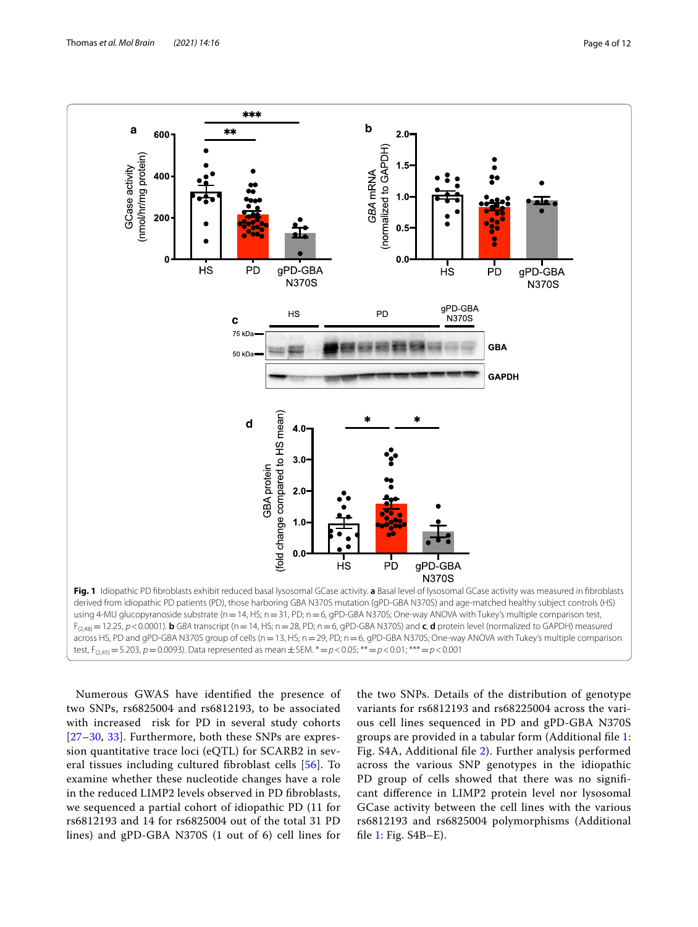

<span id="page-3-0"></span>Numerous GWAS have identifed the presence of two SNPs, rs6825004 and rs6812193, to be associated with increased risk for PD in several study cohorts [[27](#page-10-13)[–30](#page-10-15), [33\]](#page-10-17). Furthermore, both these SNPs are expression quantitative trace loci (eQTL) for SCARB2 in several tissues including cultured fbroblast cells [[56](#page-11-4)]. To examine whether these nucleotide changes have a role in the reduced LIMP2 levels observed in PD fbroblasts, we sequenced a partial cohort of idiopathic PD (11 for rs6812193 and 14 for rs6825004 out of the total 31 PD lines) and gPD-GBA N370S (1 out of 6) cell lines for

the two SNPs. Details of the distribution of genotype variants for rs6812193 and rs68225004 across the various cell lines sequenced in PD and gPD-GBA N370S groups are provided in a tabular form (Additional fle [1](#page-9-2): Fig. S4A, Additional fle [2\)](#page-9-3). Further analysis performed across the various SNP genotypes in the idiopathic PD group of cells showed that there was no significant diference in LIMP2 protein level nor lysosomal GCase activity between the cell lines with the various rs6812193 and rs6825004 polymorphisms (Additional fle [1](#page-9-2): Fig. S4B–E).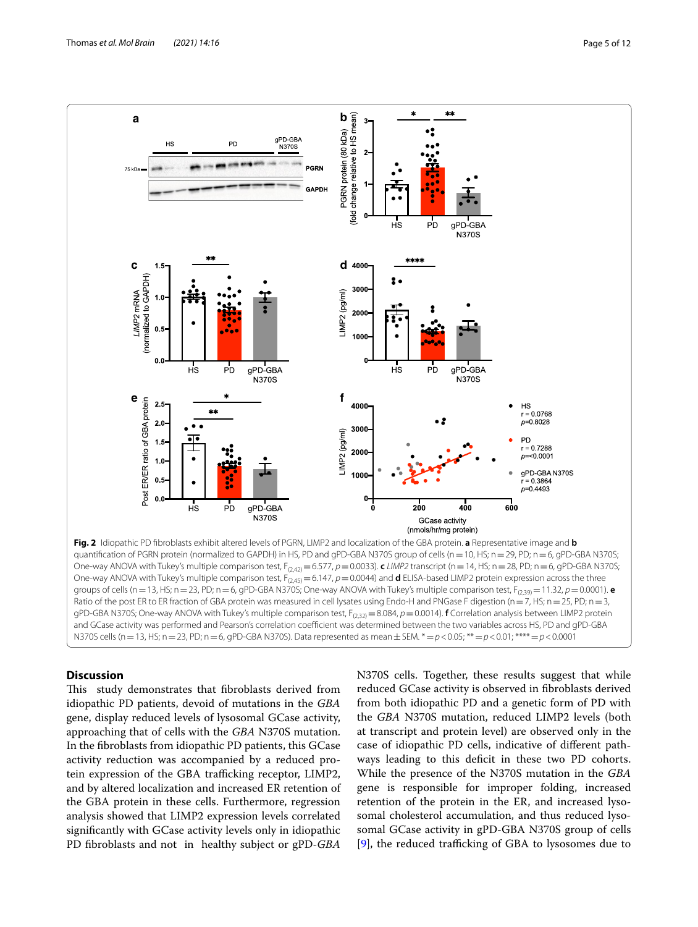

<span id="page-4-0"></span>One-way ANOVA with Tukey's multiple comparison test,  $F_{(2,42)}$  = 6.577,  $p$  = 0.0033). **c** *LIMP2* transcript (n = 14, HS; n = 28, PD; n = 6, gPD-GBA N370S; One-way ANOVA with Tukey's multiple comparison test,  $F_{(2,45)} = 6.147$ ,  $p = 0.0044$ ) and **d** ELISA-based LIMP2 protein expression across the three groups of cells (n = 13, HS; n = 23, PD; n = 6, gPD-GBA N370S; One-way ANOVA with Tukey's multiple comparison test, F<sub>(2,39)</sub> = 11.32,  $p$  = 0.0001). **e** Ratio of the post ER to ER fraction of GBA protein was measured in cell lysates using Endo-H and PNGase F digestion ( $n=7$ , HS;  $n=25$ , PD;  $n=3$ , gPD-GBA N370S; One-way ANOVA with Tukey's multiple comparison test,  $F_{(2,32)} = 8.084$ ,  $p = 0.0014$ ). **f** Correlation analysis between LIMP2 protein and GCase activity was performed and Pearson's correlation coefficient was determined between the two variables across HS, PD and gPD-GBA N370S cells (n = 13, HS; n = 23, PD; n = 6, qPD-GBA N370S). Data represented as mean  $\pm$  SEM.  $* = p < 0.05$ ;  $** = p < 0.01$ ;  $*** = p < 0.0001$ 

## **Discussion**

This study demonstrates that fibroblasts derived from idiopathic PD patients, devoid of mutations in the *GBA* gene, display reduced levels of lysosomal GCase activity, approaching that of cells with the *GBA* N370S mutation. In the fbroblasts from idiopathic PD patients, this GCase activity reduction was accompanied by a reduced protein expression of the GBA trafficking receptor, LIMP2, and by altered localization and increased ER retention of the GBA protein in these cells. Furthermore, regression analysis showed that LIMP2 expression levels correlated signifcantly with GCase activity levels only in idiopathic PD fbroblasts and not in healthy subject or gPD-*GBA* N370S cells. Together, these results suggest that while reduced GCase activity is observed in fbroblasts derived from both idiopathic PD and a genetic form of PD with the *GBA* N370S mutation, reduced LIMP2 levels (both at transcript and protein level) are observed only in the case of idiopathic PD cells, indicative of diferent pathways leading to this deficit in these two PD cohorts. While the presence of the N370S mutation in the *GBA* gene is responsible for improper folding, increased retention of the protein in the ER, and increased lysosomal cholesterol accumulation, and thus reduced lysosomal GCase activity in gPD-GBA N370S group of cells [[9\]](#page-10-32), the reduced trafficking of GBA to lysosomes due to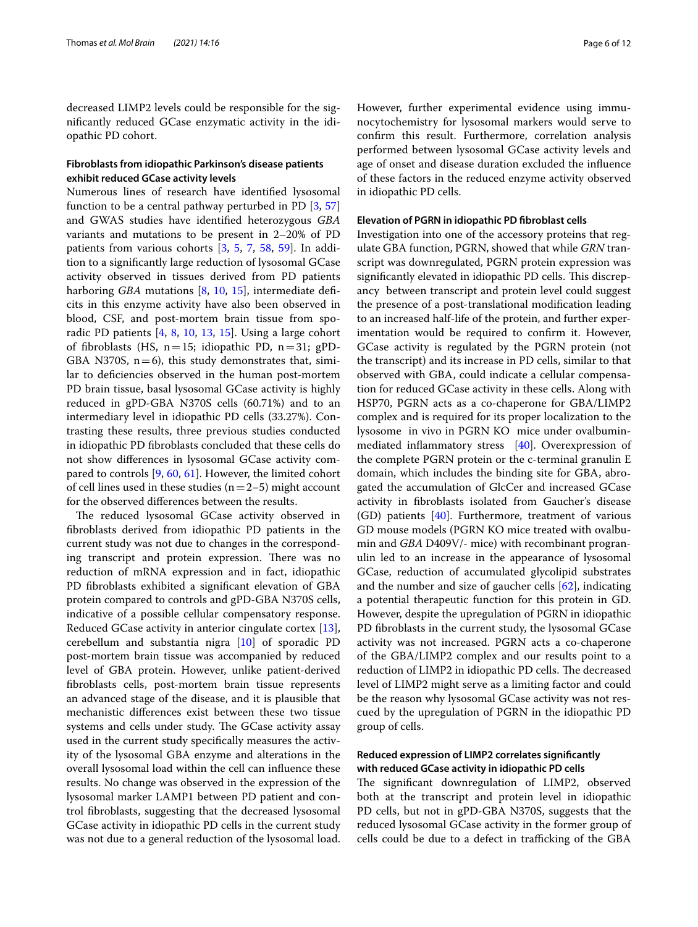decreased LIMP2 levels could be responsible for the signifcantly reduced GCase enzymatic activity in the idiopathic PD cohort.

### **Fibroblasts from idiopathic Parkinson's disease patients exhibit reduced GCase activity levels**

Numerous lines of research have identifed lysosomal function to be a central pathway perturbed in PD [\[3](#page-9-1), [57](#page-11-5)] and GWAS studies have identifed heterozygous *GBA* variants and mutations to be present in 2–20% of PD patients from various cohorts [[3,](#page-9-1) [5,](#page-10-1) [7,](#page-10-2) [58,](#page-11-6) [59](#page-11-7)]. In addition to a signifcantly large reduction of lysosomal GCase activity observed in tissues derived from PD patients harboring *GBA* mutations [[8,](#page-10-3) [10](#page-10-33), [15\]](#page-10-34), intermediate defcits in this enzyme activity have also been observed in blood, CSF, and post-mortem brain tissue from sporadic PD patients [[4](#page-10-0), [8,](#page-10-3) [10](#page-10-33), [13,](#page-10-35) [15\]](#page-10-34). Using a large cohort of fibroblasts (HS,  $n=15$ ; idiopathic PD,  $n=31$ ; gPD-GBA N370S,  $n=6$ ), this study demonstrates that, similar to defciencies observed in the human post-mortem PD brain tissue, basal lysosomal GCase activity is highly reduced in gPD-GBA N370S cells (60.71%) and to an intermediary level in idiopathic PD cells (33.27%). Contrasting these results, three previous studies conducted in idiopathic PD fbroblasts concluded that these cells do not show diferences in lysosomal GCase activity compared to controls [[9,](#page-10-32) [60](#page-11-8), [61\]](#page-11-9). However, the limited cohort of cell lines used in these studies  $(n=2-5)$  might account for the observed diferences between the results.

The reduced lysosomal GCase activity observed in fbroblasts derived from idiopathic PD patients in the current study was not due to changes in the corresponding transcript and protein expression. There was no reduction of mRNA expression and in fact, idiopathic PD fbroblasts exhibited a signifcant elevation of GBA protein compared to controls and gPD-GBA N370S cells, indicative of a possible cellular compensatory response. Reduced GCase activity in anterior cingulate cortex [\[13](#page-10-35)], cerebellum and substantia nigra [\[10](#page-10-33)] of sporadic PD post-mortem brain tissue was accompanied by reduced level of GBA protein. However, unlike patient-derived fbroblasts cells, post-mortem brain tissue represents an advanced stage of the disease, and it is plausible that mechanistic diferences exist between these two tissue systems and cells under study. The GCase activity assay used in the current study specifcally measures the activity of the lysosomal GBA enzyme and alterations in the overall lysosomal load within the cell can infuence these results. No change was observed in the expression of the lysosomal marker LAMP1 between PD patient and control fbroblasts, suggesting that the decreased lysosomal GCase activity in idiopathic PD cells in the current study was not due to a general reduction of the lysosomal load. However, further experimental evidence using immunocytochemistry for lysosomal markers would serve to confrm this result. Furthermore, correlation analysis performed between lysosomal GCase activity levels and age of onset and disease duration excluded the infuence of these factors in the reduced enzyme activity observed in idiopathic PD cells.

#### **Elevation of PGRN in idiopathic PD fbroblast cells**

Investigation into one of the accessory proteins that regulate GBA function, PGRN, showed that while *GRN* transcript was downregulated, PGRN protein expression was significantly elevated in idiopathic PD cells. This discrepancy between transcript and protein level could suggest the presence of a post-translational modifcation leading to an increased half-life of the protein, and further experimentation would be required to confrm it. However, GCase activity is regulated by the PGRN protein (not the transcript) and its increase in PD cells, similar to that observed with GBA, could indicate a cellular compensation for reduced GCase activity in these cells. Along with HSP70, PGRN acts as a co-chaperone for GBA/LIMP2 complex and is required for its proper localization to the lysosome in vivo in PGRN KO mice under ovalbuminmediated infammatory stress [\[40](#page-10-23)]. Overexpression of the complete PGRN protein or the c-terminal granulin E domain, which includes the binding site for GBA, abrogated the accumulation of GlcCer and increased GCase activity in fbroblasts isolated from Gaucher's disease (GD) patients [[40\]](#page-10-23). Furthermore, treatment of various GD mouse models (PGRN KO mice treated with ovalbumin and *GBA* D409V/- mice) with recombinant progranulin led to an increase in the appearance of lysosomal GCase, reduction of accumulated glycolipid substrates and the number and size of gaucher cells  $[62]$  $[62]$  $[62]$ , indicating a potential therapeutic function for this protein in GD. However, despite the upregulation of PGRN in idiopathic PD fbroblasts in the current study, the lysosomal GCase activity was not increased. PGRN acts a co-chaperone of the GBA/LIMP2 complex and our results point to a reduction of LIMP2 in idiopathic PD cells. The decreased level of LIMP2 might serve as a limiting factor and could be the reason why lysosomal GCase activity was not rescued by the upregulation of PGRN in the idiopathic PD group of cells.

### **Reduced expression of LIMP2 correlates signifcantly with reduced GCase activity in idiopathic PD cells**

The significant downregulation of LIMP2, observed both at the transcript and protein level in idiopathic PD cells, but not in gPD-GBA N370S, suggests that the reduced lysosomal GCase activity in the former group of cells could be due to a defect in trafficking of the GBA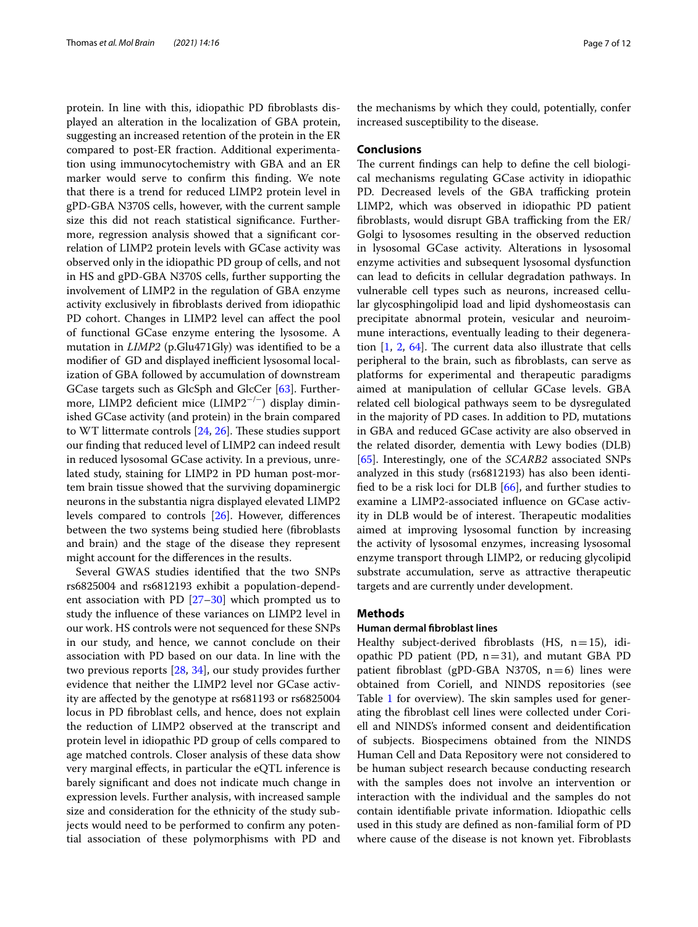protein. In line with this, idiopathic PD fbroblasts displayed an alteration in the localization of GBA protein, suggesting an increased retention of the protein in the ER compared to post-ER fraction. Additional experimentation using immunocytochemistry with GBA and an ER marker would serve to confrm this fnding. We note that there is a trend for reduced LIMP2 protein level in gPD-GBA N370S cells, however, with the current sample size this did not reach statistical signifcance. Furthermore, regression analysis showed that a signifcant correlation of LIMP2 protein levels with GCase activity was observed only in the idiopathic PD group of cells, and not in HS and gPD-GBA N370S cells, further supporting the involvement of LIMP2 in the regulation of GBA enzyme activity exclusively in fbroblasts derived from idiopathic PD cohort. Changes in LIMP2 level can afect the pool of functional GCase enzyme entering the lysosome. A mutation in *LIMP2* (p.Glu471Gly) was identifed to be a modifier of GD and displayed inefficient lysosomal localization of GBA followed by accumulation of downstream GCase targets such as GlcSph and GlcCer [\[63\]](#page-11-11). Furthermore, LIMP2 defcient mice (LIMP2−/−) display diminished GCase activity (and protein) in the brain compared to WT littermate controls  $[24, 26]$  $[24, 26]$  $[24, 26]$  $[24, 26]$ . These studies support our fnding that reduced level of LIMP2 can indeed result in reduced lysosomal GCase activity. In a previous, unrelated study, staining for LIMP2 in PD human post-mortem brain tissue showed that the surviving dopaminergic neurons in the substantia nigra displayed elevated LIMP2 levels compared to controls [\[26](#page-10-12)]. However, diferences between the two systems being studied here (fbroblasts and brain) and the stage of the disease they represent might account for the diferences in the results.

Several GWAS studies identifed that the two SNPs rs6825004 and rs6812193 exhibit a population-dependent association with PD [\[27](#page-10-13)–[30\]](#page-10-15) which prompted us to study the infuence of these variances on LIMP2 level in our work. HS controls were not sequenced for these SNPs in our study, and hence, we cannot conclude on their association with PD based on our data. In line with the two previous reports [[28,](#page-10-14) [34](#page-10-18)], our study provides further evidence that neither the LIMP2 level nor GCase activity are afected by the genotype at rs681193 or rs6825004 locus in PD fibroblast cells, and hence, does not explain the reduction of LIMP2 observed at the transcript and protein level in idiopathic PD group of cells compared to age matched controls. Closer analysis of these data show very marginal efects, in particular the eQTL inference is barely signifcant and does not indicate much change in expression levels. Further analysis, with increased sample size and consideration for the ethnicity of the study subjects would need to be performed to confrm any potential association of these polymorphisms with PD and the mechanisms by which they could, potentially, confer increased susceptibility to the disease.

#### **Conclusions**

The current findings can help to define the cell biological mechanisms regulating GCase activity in idiopathic PD. Decreased levels of the GBA trafficking protein LIMP2, which was observed in idiopathic PD patient fibroblasts, would disrupt GBA trafficking from the  $ER/$ Golgi to lysosomes resulting in the observed reduction in lysosomal GCase activity. Alterations in lysosomal enzyme activities and subsequent lysosomal dysfunction can lead to defcits in cellular degradation pathways. In vulnerable cell types such as neurons, increased cellular glycosphingolipid load and lipid dyshomeostasis can precipitate abnormal protein, vesicular and neuroimmune interactions, eventually leading to their degeneration  $[1, 2, 64]$  $[1, 2, 64]$  $[1, 2, 64]$  $[1, 2, 64]$  $[1, 2, 64]$  $[1, 2, 64]$  $[1, 2, 64]$ . The current data also illustrate that cells peripheral to the brain, such as fbroblasts, can serve as platforms for experimental and therapeutic paradigms aimed at manipulation of cellular GCase levels. GBA related cell biological pathways seem to be dysregulated in the majority of PD cases. In addition to PD, mutations in GBA and reduced GCase activity are also observed in the related disorder, dementia with Lewy bodies (DLB) [[65\]](#page-11-13). Interestingly, one of the *SCARB2* associated SNPs analyzed in this study (rs6812193) has also been identifed to be a risk loci for DLB [\[66](#page-11-14)], and further studies to examine a LIMP2-associated infuence on GCase activity in DLB would be of interest. Therapeutic modalities aimed at improving lysosomal function by increasing the activity of lysosomal enzymes, increasing lysosomal enzyme transport through LIMP2, or reducing glycolipid substrate accumulation, serve as attractive therapeutic targets and are currently under development.

### **Methods**

## **Human dermal fbroblast lines**

Healthy subject-derived fibroblasts (HS,  $n=15$ ), idiopathic PD patient (PD,  $n=31$ ), and mutant GBA PD patient fibroblast (gPD-GBA N370S,  $n=6$ ) lines were obtained from Coriell, and NINDS repositories (see Table  $1$  for overview). The skin samples used for generating the fbroblast cell lines were collected under Coriell and NINDS's informed consent and deidentifcation of subjects. Biospecimens obtained from the NINDS Human Cell and Data Repository were not considered to be human subject research because conducting research with the samples does not involve an intervention or interaction with the individual and the samples do not contain identifable private information. Idiopathic cells used in this study are defned as non-familial form of PD where cause of the disease is not known yet. Fibroblasts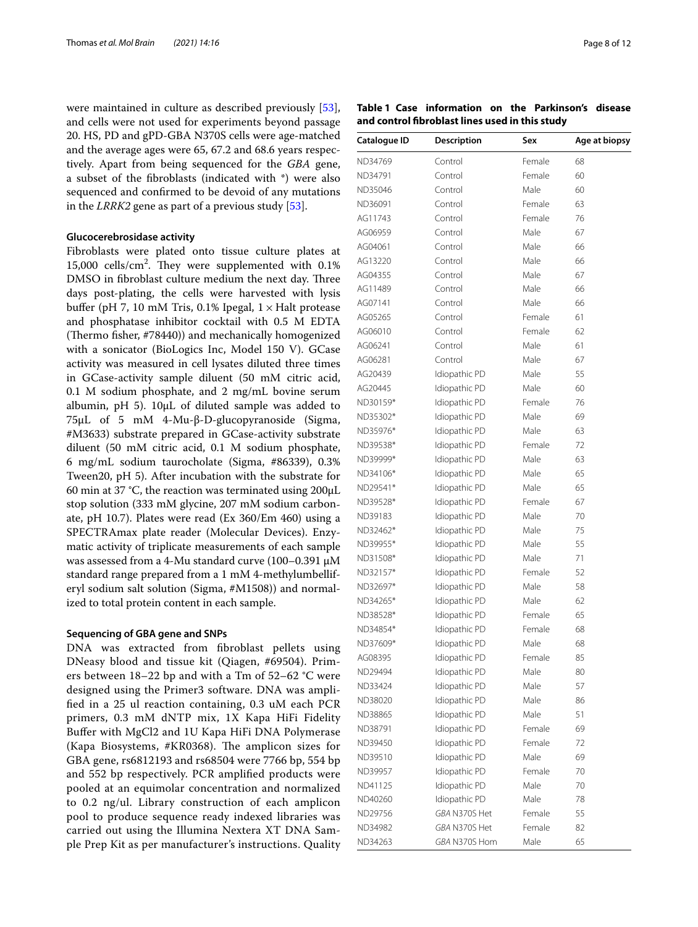were maintained in culture as described previously [\[53](#page-11-15)], and cells were not used for experiments beyond passage 20. HS, PD and gPD-GBA N370S cells were age-matched and the average ages were 65, 67.2 and 68.6 years respectively. Apart from being sequenced for the *GBA* gene, a subset of the fbroblasts (indicated with \*) were also sequenced and confrmed to be devoid of any mutations in the *LRRK2* gene as part of a previous study [\[53](#page-11-15)].

#### **Glucocerebrosidase activity**

Fibroblasts were plated onto tissue culture plates at 15,000 cells/cm<sup>2</sup>. They were supplemented with  $0.1\%$ DMSO in fibroblast culture medium the next day. Three days post-plating, the cells were harvested with lysis buffer (pH 7, 10 mM Tris, 0.1% Ipegal,  $1 \times$  Halt protease and phosphatase inhibitor cocktail with 0.5 M EDTA (Thermo fisher,  $\#78440$ ) and mechanically homogenized with a sonicator (BioLogics Inc, Model 150 V). GCase activity was measured in cell lysates diluted three times in GCase-activity sample diluent (50 mM citric acid, 0.1 M sodium phosphate, and 2 mg/mL bovine serum albumin, pH 5). 10µL of diluted sample was added to 75µL of 5 mM 4-Mu-β-D-glucopyranoside (Sigma, #M3633) substrate prepared in GCase-activity substrate diluent (50 mM citric acid, 0.1 M sodium phosphate, 6 mg/mL sodium taurocholate (Sigma, #86339), 0.3% Tween20, pH 5). After incubation with the substrate for 60 min at 37 °C, the reaction was terminated using  $200 \mu L$ stop solution (333 mM glycine, 207 mM sodium carbonate, pH 10.7). Plates were read (Ex 360/Em 460) using a SPECTRAmax plate reader (Molecular Devices). Enzymatic activity of triplicate measurements of each sample was assessed from a 4-Mu standard curve (100–0.391 µM standard range prepared from a 1 mM 4-methylumbelliferyl sodium salt solution (Sigma, #M1508)) and normalized to total protein content in each sample.

#### **Sequencing of GBA gene and SNPs**

DNA was extracted from fbroblast pellets using DNeasy blood and tissue kit (Qiagen, #69504). Primers between 18–22 bp and with a Tm of 52–62 °C were designed using the Primer3 software. DNA was amplifed in a 25 ul reaction containing, 0.3 uM each PCR primers, 0.3 mM dNTP mix, 1X Kapa HiFi Fidelity Bufer with MgCl2 and 1U Kapa HiFi DNA Polymerase (Kapa Biosystems,  $#KR0368$ ). The amplicon sizes for GBA gene, rs6812193 and rs68504 were 7766 bp, 554 bp and 552 bp respectively. PCR amplifed products were pooled at an equimolar concentration and normalized to 0.2 ng/ul. Library construction of each amplicon pool to produce sequence ready indexed libraries was carried out using the Illumina Nextera XT DNA Sample Prep Kit as per manufacturer's instructions. Quality

<span id="page-7-0"></span>**Table 1 Case information on the Parkinson's disease and control fbroblast lines used in this study**

| Catalogue ID | Description   | Sex    | Age at biopsy |
|--------------|---------------|--------|---------------|
| ND34769      | Control       | Female | 68            |
| ND34791      | Control       | Female | 60            |
| ND35046      | Control       | Male   | 60            |
| ND36091      | Control       | Female | 63            |
| AG11743      | Control       | Female | 76            |
| AG06959      | Control       | Male   | 67            |
| AG04061      | Control       | Male   | 66            |
| AG13220      | Control       | Male   | 66            |
| AG04355      | Control       | Male   | 67            |
| AG11489      | Control       | Male   | 66            |
| AG07141      | Control       | Male   | 66            |
| AG05265      | Control       | Female | 61            |
| AG06010      | Control       | Female | 62            |
| AG06241      | Control       | Male   | 61            |
| AG06281      | Control       | Male   | 67            |
| AG20439      | Idiopathic PD | Male   | 55            |
| AG20445      | Idiopathic PD | Male   | 60            |
| ND30159*     | Idiopathic PD | Female | 76            |
| ND35302*     | Idiopathic PD | Male   | 69            |
| ND35976*     | Idiopathic PD | Male   | 63            |
| ND39538*     | Idiopathic PD | Female | 72            |
| ND39999*     | Idiopathic PD | Male   | 63            |
| ND34106*     | Idiopathic PD | Male   | 65            |
| ND29541*     | Idiopathic PD | Male   | 65            |
| ND39528*     | Idiopathic PD | Female | 67            |
| ND39183      | Idiopathic PD | Male   | 70            |
| ND32462*     | Idiopathic PD | Male   | 75            |
| ND39955*     | Idiopathic PD | Male   | 55            |
| ND31508*     | Idiopathic PD | Male   | 71            |
| ND32157*     | Idiopathic PD | Female | 52            |
| ND32697*     | Idiopathic PD | Male   | 58            |
| ND34265*     | Idiopathic PD | Male   | 62            |
| ND38528*     | Idiopathic PD | Female | 65            |
| ND34854*     | Idiopathic PD | Female | 68            |
| ND37609*     | Idiopathic PD | Male   | 68            |
| AG08395      | Idiopathic PD | Female | 85            |
| ND29494      | Idiopathic PD | Male   | 80            |
| ND33424      | Idiopathic PD | Male   | 57            |
| ND38020      | Idiopathic PD | Male   | 86            |
| ND38865      | Idiopathic PD | Male   | 51            |
| ND38791      | Idiopathic PD | Female | 69            |
| ND39450      | Idiopathic PD | Female | 72            |
| ND39510      | Idiopathic PD | Male   | 69            |
| ND39957      | Idiopathic PD | Female | 70            |
| ND41125      | Idiopathic PD | Male   | 70            |
| ND40260      | Idiopathic PD | Male   | 78            |
| ND29756      | GBA N370S Het | Female | 55            |
| ND34982      | GBA N370S Het | Female | 82            |
| ND34263      | GBA N370S Hom | Male   | 65            |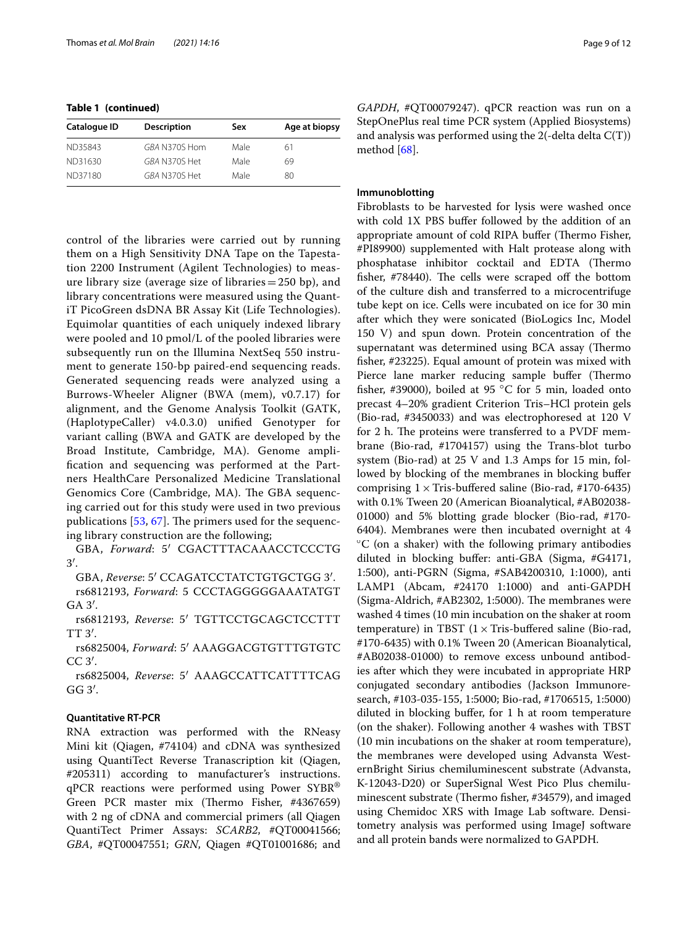**Table 1 (continued)**

| Catalogue ID | <b>Description</b> | Sex  | Age at biopsy |  |
|--------------|--------------------|------|---------------|--|
| ND35843      | GBA N370S Hom      | Male | 61            |  |
| ND31630      | GBA N370S Het      | Male | 69            |  |
| ND37180      | GBA N370S Het      | Male | 80            |  |

control of the libraries were carried out by running them on a High Sensitivity DNA Tape on the Tapestation 2200 Instrument (Agilent Technologies) to measure library size (average size of libraries  $=$  250 bp), and library concentrations were measured using the QuantiT PicoGreen dsDNA BR Assay Kit (Life Technologies). Equimolar quantities of each uniquely indexed library were pooled and 10 pmol/L of the pooled libraries were subsequently run on the Illumina NextSeq 550 instrument to generate 150-bp paired-end sequencing reads. Generated sequencing reads were analyzed using a Burrows-Wheeler Aligner (BWA (mem), v0.7.17) for alignment, and the Genome Analysis Toolkit (GATK, (HaplotypeCaller) v4.0.3.0) unifed Genotyper for variant calling (BWA and GATK are developed by the Broad Institute, Cambridge, MA). Genome amplifcation and sequencing was performed at the Partners HealthCare Personalized Medicine Translational Genomics Core (Cambridge, MA). The GBA sequencing carried out for this study were used in two previous publications  $[53, 67]$  $[53, 67]$  $[53, 67]$  $[53, 67]$ . The primers used for the sequencing library construction are the following;

GBA, *Forward*: 5′ CGACTTTACAAACCTCCCTG 3′.

GBA, *Reverse*: 5′ CCAGATCCTATCTGTGCTGG 3′. rs6812193, *Forward*: 5 CCCTAGGGGGAAATATGT GA 3′.

rs6812193, *Reverse*: 5′ TGTTCCTGCAGCTCCTTT TT 3′.

rs6825004, *Forward*: 5′ AAAGGACGTGTTTGTGTC CC 3′.

rs6825004, *Reverse*: 5′ AAAGCCATTCATTTTCAG GG 3′.

### **Quantitative RT‑PCR**

RNA extraction was performed with the RNeasy Mini kit (Qiagen, #74104) and cDNA was synthesized using QuantiTect Reverse Tranascription kit (Qiagen, #205311) according to manufacturer's instructions. qPCR reactions were performed using Power SYBR® Green PCR master mix (Thermo Fisher, #4367659) with 2 ng of cDNA and commercial primers (all Qiagen QuantiTect Primer Assays: *SCARB2*, #QT00041566; *GBA*, #QT00047551; *GRN*, Qiagen #QT01001686; and

*GAPDH*, #QT00079247). qPCR reaction was run on a StepOnePlus real time PCR system (Applied Biosystems) and analysis was performed using the  $2(-$ delta delta  $C(T)$ ) method [\[68\]](#page-11-17).

### **Immunoblotting**

Fibroblasts to be harvested for lysis were washed once with cold 1X PBS buffer followed by the addition of an appropriate amount of cold RIPA buffer (Thermo Fisher, #PI89900) supplemented with Halt protease along with phosphatase inhibitor cocktail and EDTA (Thermo fisher,  $\#78440$ ). The cells were scraped off the bottom of the culture dish and transferred to a microcentrifuge tube kept on ice. Cells were incubated on ice for 30 min after which they were sonicated (BioLogics Inc, Model 150 V) and spun down. Protein concentration of the supernatant was determined using BCA assay (Thermo fsher, #23225). Equal amount of protein was mixed with Pierce lane marker reducing sample buffer (Thermo fsher, #39000), boiled at 95 ◦C for 5 min, loaded onto precast 4–20% gradient Criterion Tris–HCl protein gels (Bio-rad, #3450033) and was electrophoresed at 120 V for 2 h. The proteins were transferred to a PVDF membrane (Bio-rad, #1704157) using the Trans-blot turbo system (Bio-rad) at 25 V and 1.3 Amps for 15 min, followed by blocking of the membranes in blocking bufer comprising  $1 \times$  Tris-buffered saline (Bio-rad, #170-6435) with 0.1% Tween 20 (American Bioanalytical, #AB02038- 01000) and 5% blotting grade blocker (Bio-rad, #170- 6404). Membranes were then incubated overnight at 4  $\rm{^{\circ}C}$  (on a shaker) with the following primary antibodies diluted in blocking bufer: anti-GBA (Sigma, #G4171, 1:500), anti-PGRN (Sigma, #SAB4200310, 1:1000), anti LAMP1 (Abcam, #24170 1:1000) and anti-GAPDH (Sigma-Aldrich, #AB2302, 1:5000). The membranes were washed 4 times (10 min incubation on the shaker at room temperature) in TBST  $(1 \times$  Tris-buffered saline (Bio-rad, #170-6435) with 0.1% Tween 20 (American Bioanalytical, #AB02038-01000) to remove excess unbound antibodies after which they were incubated in appropriate HRP conjugated secondary antibodies (Jackson Immunoresearch, #103-035-155, 1:5000; Bio-rad, #1706515, 1:5000) diluted in blocking bufer, for 1 h at room temperature (on the shaker). Following another 4 washes with TBST (10 min incubations on the shaker at room temperature), the membranes were developed using Advansta WesternBright Sirius chemiluminescent substrate (Advansta, K-12043-D20) or SuperSignal West Pico Plus chemiluminescent substrate (Thermo fisher, #34579), and imaged using Chemidoc XRS with Image Lab software. Densitometry analysis was performed using ImageJ software and all protein bands were normalized to GAPDH.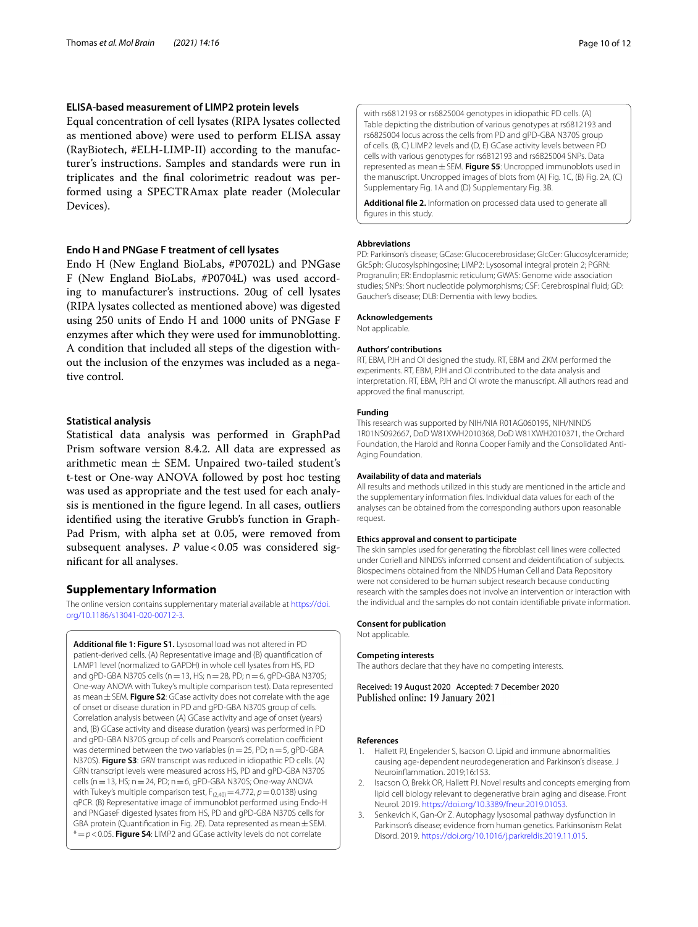### **ELISA‑based measurement of LIMP2 protein levels**

Equal concentration of cell lysates (RIPA lysates collected as mentioned above) were used to perform ELISA assay (RayBiotech, #ELH-LIMP-II) according to the manufacturer's instructions. Samples and standards were run in triplicates and the fnal colorimetric readout was performed using a SPECTRAmax plate reader (Molecular Devices).

### **Endo H and PNGase F treatment of cell lysates**

Endo H (New England BioLabs, #P0702L) and PNGase F (New England BioLabs, #P0704L) was used according to manufacturer's instructions. 20ug of cell lysates (RIPA lysates collected as mentioned above) was digested using 250 units of Endo H and 1000 units of PNGase F enzymes after which they were used for immunoblotting. A condition that included all steps of the digestion without the inclusion of the enzymes was included as a negative control.

### **Statistical analysis**

Statistical data analysis was performed in GraphPad Prism software version 8.4.2. All data are expressed as arithmetic mean  $\pm$  SEM. Unpaired two-tailed student's t-test or One-way ANOVA followed by post hoc testing was used as appropriate and the test used for each analysis is mentioned in the fgure legend. In all cases, outliers identifed using the iterative Grubb's function in Graph-Pad Prism, with alpha set at 0.05, were removed from subsequent analyses. *P* value < 0.05 was considered signifcant for all analyses.

### **Supplementary Information**

The online version contains supplementary material available at [https://doi.](https://doi.org/10.1186/s13041-020-00712-3) [org/10.1186/s13041-020-00712-3](https://doi.org/10.1186/s13041-020-00712-3).

<span id="page-9-2"></span>**Additional fle 1: Figure S1.** Lysosomal load was not altered in PD patient-derived cells. (A) Representative image and (B) quantifcation of LAMP1 level (normalized to GAPDH) in whole cell lysates from HS, PD and gPD-GBA N370S cells (n=13, HS; n=28, PD; n=6, gPD-GBA N370S; One-way ANOVA with Tukey's multiple comparison test). Data represented as mean±SEM. **Figure S2**: GCase activity does not correlate with the age of onset or disease duration in PD and gPD-GBA N370S group of cells. Correlation analysis between (A) GCase activity and age of onset (years) and, (B) GCase activity and disease duration (years) was performed in PD and gPD-GBA N370S group of cells and Pearson's correlation coefficient was determined between the two variables ( $n=25$ , PD;  $n=5$ , gPD-GBA N370S). **Figure S3**: *GRN* transcript was reduced in idiopathic PD cells. (A) GRN transcript levels were measured across HS, PD and gPD-GBA N370S cells ( $n=13$ , HS;  $n=24$ , PD;  $n=6$ , gPD-GBA N370S; One-way ANOVA with Tukey's multiple comparison test,  $F_{(2,40)}=4.772$ ,  $p=0.0138$ ) using qPCR. (B) Representative image of immunoblot performed using Endo-H and PNGaseF digested lysates from HS, PD and gPD-GBA N370S cells for GBA protein (Quantification in Fig. 2E). Data represented as mean  $\pm$  SEM. \*=*p*<0.05. **Figure S4**: LIMP2 and GCase activity levels do not correlate

with rs6812193 or rs6825004 genotypes in idiopathic PD cells. (A) Table depicting the distribution of various genotypes at rs6812193 and rs6825004 locus across the cells from PD and gPD-GBA N370S group of cells. (B, C) LIMP2 levels and (D, E) GCase activity levels between PD cells with various genotypes for rs6812193 and rs6825004 SNPs. Data represented as mean±SEM. **Figure S5**: Uncropped immunoblots used in the manuscript. Uncropped images of blots from (A) Fig. 1C, (B) Fig. 2A, (C) Supplementary Fig. 1A and (D) Supplementary Fig. 3B.

<span id="page-9-3"></span>**Additional fle 2.** Information on processed data used to generate all figures in this study.

#### **Abbreviations**

PD: Parkinson's disease; GCase: Glucocerebrosidase; GlcCer: Glucosylceramide; GlcSph: Glucosylsphingosine; LIMP2: Lysosomal integral protein 2; PGRN: Progranulin; ER: Endoplasmic reticulum; GWAS: Genome wide association studies; SNPs: Short nucleotide polymorphisms; CSF: Cerebrospinal fuid; GD: Gaucher's disease; DLB: Dementia with lewy bodies.

#### **Acknowledgements**

Not applicable.

#### **Authors' contributions**

RT, EBM, PJH and OI designed the study. RT, EBM and ZKM performed the experiments. RT, EBM, PJH and OI contributed to the data analysis and interpretation. RT, EBM, PJH and OI wrote the manuscript. All authors read and approved the fnal manuscript.

#### **Funding**

This research was supported by NIH/NIA R01AG060195, NIH/NINDS 1R01NS092667, DoD W81XWH2010368, DoD W81XWH2010371, the Orchard Foundation, the Harold and Ronna Cooper Family and the Consolidated Anti-Aging Foundation.

#### **Availability of data and materials**

All results and methods utilized in this study are mentioned in the article and the supplementary information fles. Individual data values for each of the analyses can be obtained from the corresponding authors upon reasonable request.

#### **Ethics approval and consent to participate**

The skin samples used for generating the fbroblast cell lines were collected under Coriell and NINDS's informed consent and deidentifcation of subjects. Biospecimens obtained from the NINDS Human Cell and Data Repository were not considered to be human subject research because conducting research with the samples does not involve an intervention or interaction with the individual and the samples do not contain identifable private information.

#### **Consent for publication**

Not applicable.

#### **Competing interests**

The authors declare that they have no competing interests.

Received: 19 August 2020 Accepted: 7 December 2020 Published online: 19 January 2021

#### **References**

- <span id="page-9-0"></span>1. Hallett PJ, Engelender S, Isacson O. Lipid and immune abnormalities causing age-dependent neurodegeneration and Parkinson's disease. J Neuroinfammation. 2019;16:153.
- <span id="page-9-4"></span>2. Isacson O, Brekk OR, Hallett PJ. Novel results and concepts emerging from lipid cell biology relevant to degenerative brain aging and disease. Front Neurol. 2019.<https://doi.org/10.3389/fneur.2019.01053>.
- <span id="page-9-1"></span>3. Senkevich K, Gan-Or Z. Autophagy lysosomal pathway dysfunction in Parkinson's disease; evidence from human genetics. Parkinsonism Relat Disord. 2019. <https://doi.org/10.1016/j.parkreldis.2019.11.015>.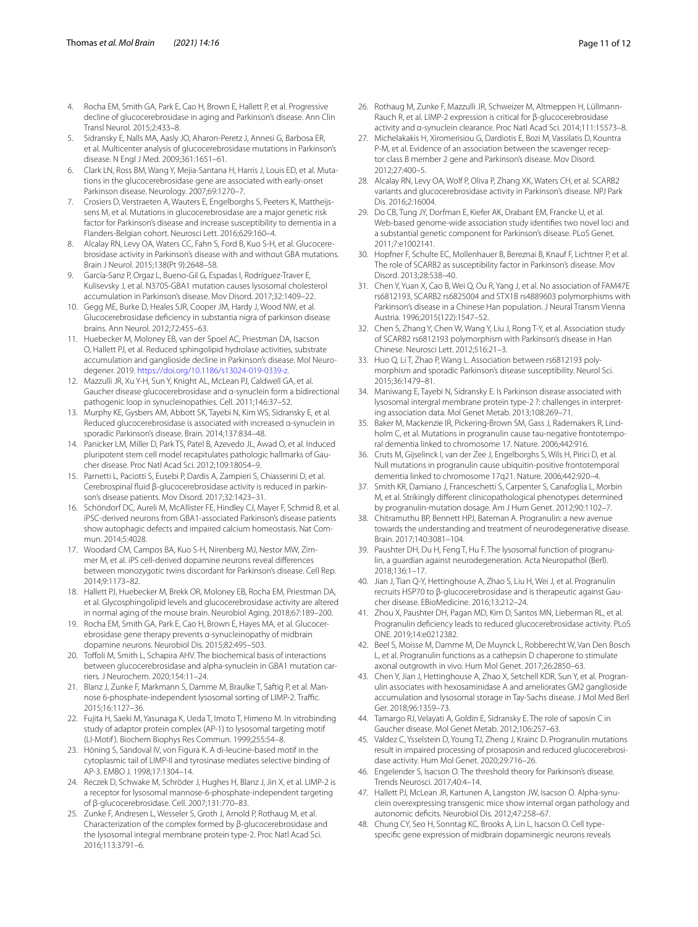- <span id="page-10-0"></span>4. Rocha EM, Smith GA, Park E, Cao H, Brown E, Hallett P, et al. Progressive decline of glucocerebrosidase in aging and Parkinson's disease. Ann Clin Transl Neurol. 2015;2:433–8.
- <span id="page-10-1"></span>5. Sidransky E, Nalls MA, Aasly JO, Aharon-Peretz J, Annesi G, Barbosa ER, et al. Multicenter analysis of glucocerebrosidase mutations in Parkinson's disease. N Engl J Med. 2009;361:1651–61.
- 6. Clark LN, Ross BM, Wang Y, Mejia-Santana H, Harris J, Louis ED, et al. Mutations in the glucocerebrosidase gene are associated with early-onset Parkinson disease. Neurology. 2007;69:1270–7.
- <span id="page-10-2"></span>7. Crosiers D, Verstraeten A, Wauters E, Engelborghs S, Peeters K, Mattheijssens M, et al. Mutations in glucocerebrosidase are a major genetic risk factor for Parkinson's disease and increase susceptibility to dementia in a Flanders-Belgian cohort. Neurosci Lett. 2016;629:160–4.
- <span id="page-10-3"></span>Alcalay RN, Levy OA, Waters CC, Fahn S, Ford B, Kuo S-H, et al. Glucocerebrosidase activity in Parkinson's disease with and without GBA mutations. Brain J Neurol. 2015;138(Pt 9):2648–58.
- <span id="page-10-32"></span>9. García-Sanz P, Orgaz L, Bueno-Gil G, Espadas I, Rodríguez-Traver E, Kulisevsky J, et al. N370S-GBA1 mutation causes lysosomal cholesterol accumulation in Parkinson's disease. Mov Disord. 2017;32:1409–22.
- <span id="page-10-33"></span>10. Gegg ME, Burke D, Heales SJR, Cooper JM, Hardy J, Wood NW, et al. Glucocerebrosidase defciency in substantia nigra of parkinson disease brains. Ann Neurol. 2012;72:455–63.
- 11. Huebecker M, Moloney EB, van der Spoel AC, Priestman DA, Isacson O, Hallett PJ, et al. Reduced sphingolipid hydrolase activities, substrate accumulation and ganglioside decline in Parkinson's disease. Mol Neurodegener. 2019.<https://doi.org/10.1186/s13024-019-0339-z>.
- <span id="page-10-7"></span>12. Mazzulli JR, Xu Y-H, Sun Y, Knight AL, McLean PJ, Caldwell GA, et al. Gaucher disease glucocerebrosidase and α-synuclein form a bidirectional pathogenic loop in synucleinopathies. Cell. 2011;146:37–52.
- <span id="page-10-35"></span>13. Murphy KE, Gysbers AM, Abbott SK, Tayebi N, Kim WS, Sidransky E, et al. Reduced glucocerebrosidase is associated with increased α-synuclein in sporadic Parkinson's disease. Brain. 2014;137:834–48.
- 14. Panicker LM, Miller D, Park TS, Patel B, Azevedo JL, Awad O, et al. Induced pluripotent stem cell model recapitulates pathologic hallmarks of Gaucher disease. Proc Natl Acad Sci. 2012;109:18054–9.
- <span id="page-10-34"></span>15. Parnetti L, Paciotti S, Eusebi P, Dardis A, Zampieri S, Chiasserini D, et al. Cerebrospinal fuid β-glucocerebrosidase activity is reduced in parkinson's disease patients. Mov Disord. 2017;32:1423–31.
- 16. Schöndorf DC, Aureli M, McAllister FE, Hindley CJ, Mayer F, Schmid B, et al. iPSC-derived neurons from GBA1-associated Parkinson's disease patients show autophagic defects and impaired calcium homeostasis. Nat Commun. 2014;5:4028.
- <span id="page-10-4"></span>17. Woodard CM, Campos BA, Kuo S-H, Nirenberg MJ, Nestor MW, Zimmer M, et al. iPS cell-derived dopamine neurons reveal diferences between monozygotic twins discordant for Parkinson's disease. Cell Rep. 2014;9:1173–82.
- <span id="page-10-5"></span>18. Hallett PJ, Huebecker M, Brekk OR, Moloney EB, Rocha EM, Priestman DA, et al. Glycosphingolipid levels and glucocerebrosidase activity are altered in normal aging of the mouse brain. Neurobiol Aging. 2018;67:189–200.
- <span id="page-10-6"></span>19. Rocha EM, Smith GA, Park E, Cao H, Brown E, Hayes MA, et al. Glucocerebrosidase gene therapy prevents α-synucleinopathy of midbrain dopamine neurons. Neurobiol Dis. 2015;82:495–503.
- <span id="page-10-8"></span>20. Toffoli M, Smith L, Schapira AHV. The biochemical basis of interactions between glucocerebrosidase and alpha-synuclein in GBA1 mutation carriers. J Neurochem. 2020;154:11–24.
- <span id="page-10-9"></span>21. Blanz J, Zunke F, Markmann S, Damme M, Braulke T, Saftig P, et al. Mannose 6-phosphate-independent lysosomal sorting of LIMP-2. Trafc. 2015;16:1127–36.
- 22. Fujita H, Saeki M, Yasunaga K, Ueda T, Imoto T, Himeno M. In vitrobinding study of adaptor protein complex (AP-1) to lysosomal targeting motif (LI-Motif ). Biochem Biophys Res Commun. 1999;255:54–8.
- 23. Höning S, Sandoval IV, von Figura K. A di-leucine-based motif in the cytoplasmic tail of LIMP-II and tyrosinase mediates selective binding of AP-3. EMBO J. 1998;17:1304–14.
- <span id="page-10-11"></span>24. Reczek D, Schwake M, Schröder J, Hughes H, Blanz J, Jin X, et al. LIMP-2 is a receptor for lysosomal mannose-6-phosphate-independent targeting of β-glucocerebrosidase. Cell. 2007;131:770–83.
- <span id="page-10-10"></span>25. Zunke F, Andresen L, Wesseler S, Groth J, Arnold P, Rothaug M, et al. Characterization of the complex formed by β-glucocerebrosidase and the lysosomal integral membrane protein type-2. Proc Natl Acad Sci. 2016;113:3791–6.
- <span id="page-10-12"></span>26. Rothaug M, Zunke F, Mazzulli JR, Schweizer M, Altmeppen H, Lüllmann-Rauch R, et al. LIMP-2 expression is critical for β-glucocerebrosidase activity and α-synuclein clearance. Proc Natl Acad Sci. 2014;111:15573–8.
- <span id="page-10-13"></span>27. Michelakakis H, Xiromerisiou G, Dardiotis E, Bozi M, Vassilatis D, Kountra P-M, et al. Evidence of an association between the scavenger receptor class B member 2 gene and Parkinson's disease. Mov Disord. 2012;27:400–5.
- <span id="page-10-14"></span>28. Alcalay RN, Levy OA, Wolf P, Oliva P, Zhang XK, Waters CH, et al. SCARB2 variants and glucocerebrosidase activity in Parkinson's disease. NPJ Park Dis. 2016;2:16004.
- 29. Do CB, Tung JY, Dorfman E, Kiefer AK, Drabant EM, Francke U, et al. Web-based genome-wide association study identifes two novel loci and a substantial genetic component for Parkinson's disease. PLoS Genet. 2011;7:e1002141.
- <span id="page-10-15"></span>30. Hopfner F, Schulte EC, Mollenhauer B, Bereznai B, Knauf F, Lichtner P, et al. The role of SCARB2 as susceptibility factor in Parkinson's disease. Mov Disord. 2013;28:538–40.
- <span id="page-10-16"></span>31. Chen Y, Yuan X, Cao B, Wei Q, Ou R, Yang J, et al. No association of FAM47E rs6812193, SCARB2 rs6825004 and STX1B rs4889603 polymorphisms with Parkinson's disease in a Chinese Han population. J Neural Transm Vienna Austria. 1996;2015(122):1547–52.
- 32. Chen S, Zhang Y, Chen W, Wang Y, Liu J, Rong T-Y, et al. Association study of SCARB2 rs6812193 polymorphism with Parkinson's disease in Han Chinese. Neurosci Lett. 2012;516:21–3.
- <span id="page-10-17"></span>33. Huo Q, Li T, Zhao P, Wang L. Association between rs6812193 polymorphism and sporadic Parkinson's disease susceptibility. Neurol Sci. 2015;36:1479–81.
- <span id="page-10-18"></span>34. Maniwang E, Tayebi N, Sidransky E. Is Parkinson disease associated with lysosomal intergral membrane protein type-2 ?: challenges in interpreting association data. Mol Genet Metab. 2013;108:269–71.
- <span id="page-10-19"></span>35. Baker M, Mackenzie IR, Pickering-Brown SM, Gass J, Rademakers R, Lindholm C, et al. Mutations in progranulin cause tau-negative frontotemporal dementia linked to chromosome 17. Nature. 2006;442:916.
- 36. Cruts M, Gijselinck I, van der Zee J, Engelborghs S, Wils H, Pirici D, et al. Null mutations in progranulin cause ubiquitin-positive frontotemporal dementia linked to chromosome 17q21. Nature. 2006;442:920–4.
- <span id="page-10-20"></span>37. Smith KR, Damiano J, Franceschetti S, Carpenter S, Canafoglia L, Morbin M, et al. Strikingly diferent clinicopathological phenotypes determined by progranulin-mutation dosage. Am J Hum Genet. 2012;90:1102–7.
- <span id="page-10-21"></span>38. Chitramuthu BP, Bennett HPJ, Bateman A. Progranulin: a new avenue towards the understanding and treatment of neurodegenerative disease. Brain. 2017;140:3081–104.
- <span id="page-10-22"></span>39. Paushter DH, Du H, Feng T, Hu F. The lysosomal function of progranulin, a guardian against neurodegeneration. Acta Neuropathol (Berl). 2018;136:1–17.
- <span id="page-10-23"></span>40. Jian J, Tian Q-Y, Hettinghouse A, Zhao S, Liu H, Wei J, et al. Progranulin recruits HSP70 to β-glucocerebrosidase and is therapeutic against Gaucher disease. EBioMedicine. 2016;13:212–24.
- <span id="page-10-24"></span>41. Zhou X, Paushter DH, Pagan MD, Kim D, Santos MN, Lieberman RL, et al. Progranulin defciency leads to reduced glucocerebrosidase activity. PLoS ONE. 2019;14:e0212382.
- <span id="page-10-25"></span>42. Beel S, Moisse M, Damme M, De Muynck L, Robberecht W, Van Den Bosch L, et al. Progranulin functions as a cathepsin D chaperone to stimulate axonal outgrowth in vivo. Hum Mol Genet. 2017;26:2850–63.
- <span id="page-10-26"></span>43. Chen Y, Jian J, Hettinghouse A, Zhao X, Setchell KDR, Sun Y, et al. Progranulin associates with hexosaminidase A and ameliorates GM2 ganglioside accumulation and lysosomal storage in Tay-Sachs disease. J Mol Med Berl Ger. 2018;96:1359–73.
- <span id="page-10-27"></span>44. Tamargo RJ, Velayati A, Goldin E, Sidransky E. The role of saposin C in Gaucher disease. Mol Genet Metab. 2012;106:257–63.
- <span id="page-10-28"></span>45. Valdez C, Ysselstein D, Young TJ, Zheng J, Krainc D. Progranulin mutations result in impaired processing of prosaposin and reduced glucocerebrosidase activity. Hum Mol Genet. 2020;29:716–26.
- <span id="page-10-29"></span>46. Engelender S, Isacson O. The threshold theory for Parkinson's disease. Trends Neurosci. 2017;40:4–14.
- <span id="page-10-30"></span>47. Hallett PJ, McLean JR, Kartunen A, Langston JW, Isacson O. Alpha-synuclein overexpressing transgenic mice show internal organ pathology and autonomic defcits. Neurobiol Dis. 2012;47:258–67.
- <span id="page-10-31"></span>48. Chung CY, Seo H, Sonntag KC, Brooks A, Lin L, Isacson O. Cell typespecifc gene expression of midbrain dopaminergic neurons reveals